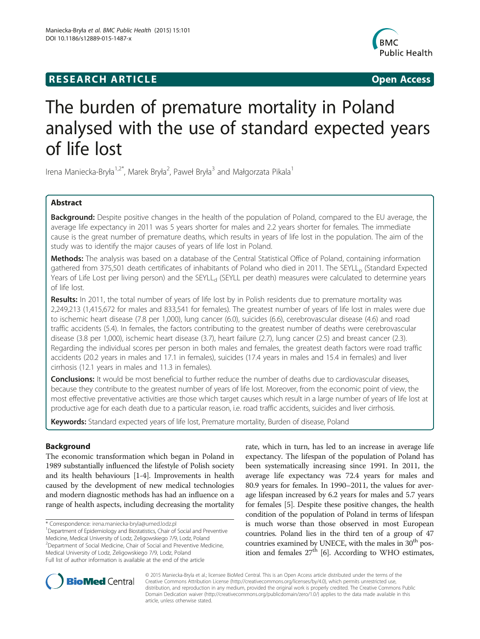# **RESEARCH ARTICLE Example 2014 12:30 The SEAR CHIPS 2014 12:30 The Open Access**



# The burden of premature mortality in Poland analysed with the use of standard expected years of life lost

Irena Maniecka-Bryła<sup>1,2\*</sup>, Marek Bryła<sup>2</sup>, Paweł Bryła<sup>3</sup> and Małgorzata Pikala<sup>1</sup>

# Abstract

Background: Despite positive changes in the health of the population of Poland, compared to the EU average, the average life expectancy in 2011 was 5 years shorter for males and 2.2 years shorter for females. The immediate cause is the great number of premature deaths, which results in years of life lost in the population. The aim of the study was to identify the major causes of years of life lost in Poland.

Methods: The analysis was based on a database of the Central Statistical Office of Poland, containing information gathered from 375,501 death certificates of inhabitants of Poland who died in 2011. The SEYLL<sub>p</sub> (Standard Expected Years of Life Lost per living person) and the SEYLL<sub>d</sub> (SEYLL per death) measures were calculated to determine years of life lost.

Results: In 2011, the total number of years of life lost by in Polish residents due to premature mortality was 2,249,213 (1,415,672 for males and 833,541 for females). The greatest number of years of life lost in males were due to ischemic heart disease (7.8 per 1,000), lung cancer (6.0), suicides (6.6), cerebrovascular disease (4.6) and road traffic accidents (5.4). In females, the factors contributing to the greatest number of deaths were cerebrovascular disease (3.8 per 1,000), ischemic heart disease (3.7), heart failure (2.7), lung cancer (2.5) and breast cancer (2.3). Regarding the individual scores per person in both males and females, the greatest death factors were road traffic accidents (20.2 years in males and 17.1 in females), suicides (17.4 years in males and 15.4 in females) and liver cirrhosis (12.1 years in males and 11.3 in females).

**Conclusions:** It would be most beneficial to further reduce the number of deaths due to cardiovascular diseases, because they contribute to the greatest number of years of life lost. Moreover, from the economic point of view, the most effective preventative activities are those which target causes which result in a large number of years of life lost at productive age for each death due to a particular reason, i.e. road traffic accidents, suicides and liver cirrhosis.

Keywords: Standard expected years of life lost, Premature mortality, Burden of disease, Poland

# Background

The economic transformation which began in Poland in 1989 substantially influenced the lifestyle of Polish society and its health behaviours [[1-4\]](#page-6-0). Improvements in health caused by the development of new medical technologies and modern diagnostic methods has had an influence on a range of health aspects, including decreasing the mortality

<sup>1</sup> Department of Epidemiology and Biostatistics, Chair of Social and Preventive Medicine, Medical University of Lodz, <sup>Ż</sup>eligowskiego 7/9, Lodz, Poland <sup>2</sup> <sup>2</sup> Department of Social Medicine, Chair of Social and Preventive Medicine, Medical University of Lodz, Żeligowskiego 7/9, Lodz, Poland Full list of author information is available at the end of the article

rate, which in turn, has led to an increase in average life expectancy. The lifespan of the population of Poland has been systematically increasing since 1991. In 2011, the average life expectancy was 72.4 years for males and 80.9 years for females. In 1990–2011, the values for average lifespan increased by 6.2 years for males and 5.7 years for females [[5\]](#page-6-0). Despite these positive changes, the health condition of the population of Poland in terms of lifespan is much worse than those observed in most European countries. Poland lies in the third ten of a group of 47 countries examined by UNECE, with the males in 30<sup>th</sup> position and females  $27<sup>th</sup>$  [[6\]](#page-6-0). According to WHO estimates,



© 2015 Maniecka-Bryla et al.; licensee BioMed Central. This is an Open Access article distributed under the terms of the Creative Commons Attribution License (<http://creativecommons.org/licenses/by/4.0>), which permits unrestricted use, distribution, and reproduction in any medium, provided the original work is properly credited. The Creative Commons Public Domain Dedication waiver [\(http://creativecommons.org/publicdomain/zero/1.0/\)](http://creativecommons.org/publicdomain/zero/1.0/) applies to the data made available in this article, unless otherwise stated.

<sup>\*</sup> Correspondence: [irena.maniecka-bryla@umed.lodz.pl](mailto:irena.maniecka-bryla@umed.lodz.pl) <sup>1</sup>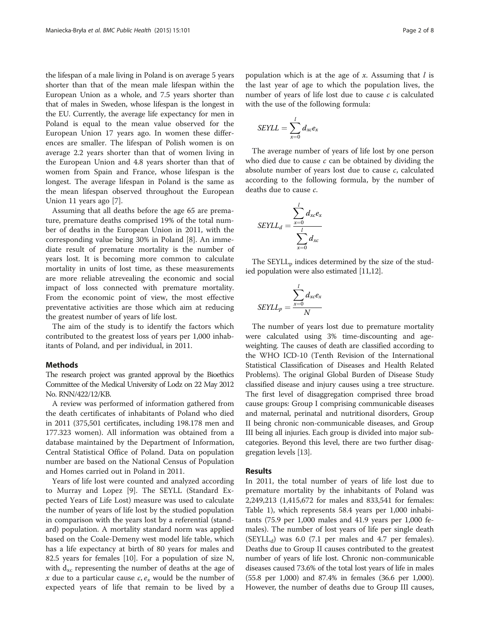the lifespan of a male living in Poland is on average 5 years shorter than that of the mean male lifespan within the European Union as a whole, and 7.5 years shorter than that of males in Sweden, whose lifespan is the longest in the EU. Currently, the average life expectancy for men in Poland is equal to the mean value observed for the European Union 17 years ago. In women these differences are smaller. The lifespan of Polish women is on average 2.2 years shorter than that of women living in the European Union and 4.8 years shorter than that of women from Spain and France, whose lifespan is the longest. The average lifespan in Poland is the same as the mean lifespan observed throughout the European Union 11 years ago [\[7](#page-6-0)].

Assuming that all deaths before the age 65 are premature, premature deaths comprised 19% of the total number of deaths in the European Union in 2011, with the corresponding value being 30% in Poland [\[8](#page-6-0)]. An immediate result of premature mortality is the number of years lost. It is becoming more common to calculate mortality in units of lost time, as these measurements are more reliable atrevealing the economic and social impact of loss connected with premature mortality. From the economic point of view, the most effective preventative activities are those which aim at reducing the greatest number of years of life lost.

The aim of the study is to identify the factors which contributed to the greatest loss of years per 1,000 inhabitants of Poland, and per individual, in 2011.

#### **Methods**

The research project was granted approval by the Bioethics Committee of the Medical University of Lodz on 22 May 2012 No. RNN/422/12/KB.

A review was performed of information gathered from the death certificates of inhabitants of Poland who died in 2011 (375,501 certificates, including 198.178 men and 177.323 women). All information was obtained from a database maintained by the Department of Information, Central Statistical Office of Poland. Data on population number are based on the National Census of Population and Homes carried out in Poland in 2011.

Years of life lost were counted and analyzed according to Murray and Lopez [[9](#page-7-0)]. The SEYLL (Standard Expected Years of Life Lost) measure was used to calculate the number of years of life lost by the studied population in comparison with the years lost by a referential (standard) population. A mortality standard norm was applied based on the Coale-Demeny west model life table, which has a life expectancy at birth of 80 years for males and 82.5 years for females [[10\]](#page-7-0). For a population of size N, with  $d_{\text{xc}}$  representing the number of deaths at the age of x due to a particular cause  $c, e_x$  would be the number of expected years of life that remain to be lived by a population which is at the age of  $x$ . Assuming that  $l$  is the last year of age to which the population lives, the number of years of life lost due to cause  $c$  is calculated with the use of the following formula:

$$
SEYLL = \sum_{x=0}^{l} d_{xc}e_x
$$

The average number of years of life lost by one person who died due to cause  $c$  can be obtained by dividing the absolute number of years lost due to cause  $c$ , calculated according to the following formula, by the number of deaths due to cause c.

$$
SEYLL_d = \frac{\sum_{x=0}^{l} d_{xc}e_x}{\sum_{x=0}^{l} d_{xc}}
$$

The  $SEYLL<sub>p</sub>$  indices determined by the size of the studied population were also estimated [[11,12\]](#page-7-0).

$$
SEYLL_p = \frac{\sum_{x=0}^{l} d_{xc}e_x}{N}
$$

The number of years lost due to premature mortality were calculated using 3% time-discounting and ageweighting. The causes of death are classified according to the WHO ICD-10 (Tenth Revision of the International Statistical Classification of Diseases and Health Related Problems). The original Global Burden of Disease Study classified disease and injury causes using a tree structure. The first level of disaggregation comprised three broad cause groups: Group I comprising communicable diseases and maternal, perinatal and nutritional disorders, Group II being chronic non-communicable diseases, and Group III being all injuries. Each group is divided into major subcategories. Beyond this level, there are two further disaggregation levels [\[13\]](#page-7-0).

#### Results

In 2011, the total number of years of life lost due to premature mortality by the inhabitants of Poland was 2,249,213 (1,415,672 for males and 833,541 for females: Table [1\)](#page-2-0), which represents 58.4 years per 1,000 inhabitants (75.9 per 1,000 males and 41.9 years per 1,000 females). The number of lost years of life per single death  $(SEYLL_d)$  was 6.0 (7.1 per males and 4.7 per females). Deaths due to Group II causes contributed to the greatest number of years of life lost. Chronic non-communicable diseases caused 73.6% of the total lost years of life in males (55.8 per 1,000) and 87.4% in females (36.6 per 1,000). However, the number of deaths due to Group III causes,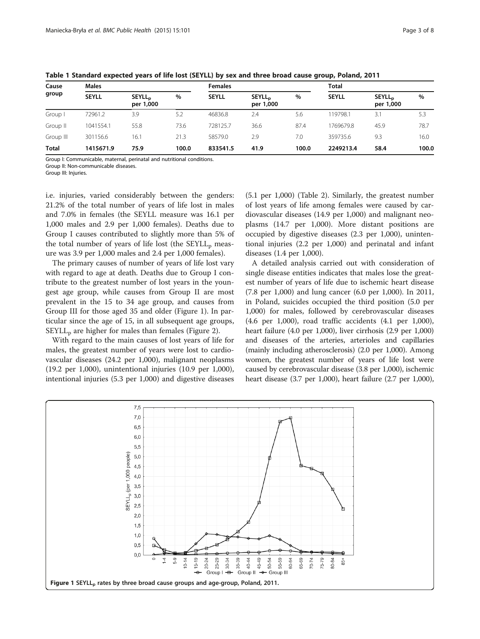| Cause        | <b>Males</b> |                                 |       | <b>Females</b> |                                 |       | Total        |                                        |       |
|--------------|--------------|---------------------------------|-------|----------------|---------------------------------|-------|--------------|----------------------------------------|-------|
| group        | <b>SEYLL</b> | SEYLL <sub>p</sub><br>per 1,000 | $\%$  | <b>SEYLL</b>   | SEYLL <sub>p</sub><br>per 1,000 | %     | <b>SEYLL</b> | <b>SEYLL</b> <sub>p</sub><br>per 1,000 | %     |
| Group I      | 72961.2      | 3.9                             | 5.2   | 46836.8        | 2.4                             | 5.6   | 119798.1     | 3.1                                    | 5.3   |
| Group II     | 1041554.1    | 55.8                            | 73.6  | 728125.7       | 36.6                            | 87.4  | 1769679.8    | 45.9                                   | 78.7  |
| Group III    | 301156.6     | 16.1                            | 21.3  | 58579.0        | 2.9                             | 7.0   | 359735.6     | 9.3                                    | 16.0  |
| <b>Total</b> | 1415671.9    | 75.9                            | 100.0 | 833541.5       | 41.9                            | 100.0 | 2249213.4    | 58.4                                   | 100.0 |

<span id="page-2-0"></span>Table 1 Standard expected years of life lost (SEYLL) by sex and three broad cause group, Poland, 2011

Group I: Communicable, maternal, perinatal and nutritional conditions.

Group II: Non-communicable diseases.

Group III: Injuries.

i.e. injuries, varied considerably between the genders: 21.2% of the total number of years of life lost in males and 7.0% in females (the SEYLL measure was 16.1 per 1,000 males and 2.9 per 1,000 females). Deaths due to Group I causes contributed to slightly more than 5% of the total number of years of life lost (the  $SEYLL$ <sub>p</sub> measure was 3.9 per 1,000 males and 2.4 per 1,000 females).

The primary causes of number of years of life lost vary with regard to age at death. Deaths due to Group I contribute to the greatest number of lost years in the youngest age group, while causes from Group II are most prevalent in the 15 to 34 age group, and causes from Group III for those aged 35 and older (Figure 1). In particular since the age of 15, in all subsequent age groups,  $SEYLL<sub>p</sub>$  are higher for males than females (Figure [2\)](#page-3-0).

With regard to the main causes of lost years of life for males, the greatest number of years were lost to cardiovascular diseases (24.2 per 1,000), malignant neoplasms (19.2 per 1,000), unintentional injuries (10.9 per 1,000), intentional injuries (5.3 per 1,000) and digestive diseases

(5.1 per 1,000) (Table [2](#page-3-0)). Similarly, the greatest number of lost years of life among females were caused by cardiovascular diseases (14.9 per 1,000) and malignant neoplasms (14.7 per 1,000). More distant positions are occupied by digestive diseases (2.3 per 1,000), unintentional injuries (2.2 per 1,000) and perinatal and infant diseases (1.4 per 1,000).

A detailed analysis carried out with consideration of single disease entities indicates that males lose the greatest number of years of life due to ischemic heart disease (7.8 per 1,000) and lung cancer (6.0 per 1,000). In 2011, in Poland, suicides occupied the third position (5.0 per 1,000) for males, followed by cerebrovascular diseases (4.6 per 1,000), road traffic accidents (4.1 per 1,000), heart failure (4.0 per 1,000), liver cirrhosis (2.9 per 1,000) and diseases of the arteries, arterioles and capillaries (mainly including atherosclerosis) (2.0 per 1,000). Among women, the greatest number of years of life lost were caused by cerebrovascular disease (3.8 per 1,000), ischemic heart disease (3.7 per 1,000), heart failure (2.7 per 1,000),

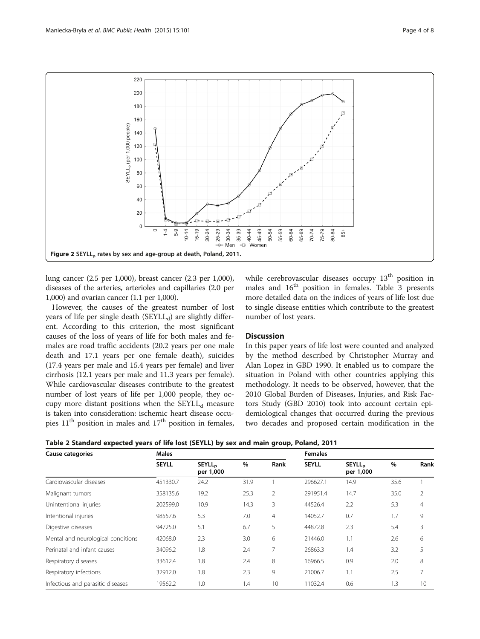<span id="page-3-0"></span>

lung cancer (2.5 per 1,000), breast cancer (2.3 per 1,000), diseases of the arteries, arterioles and capillaries (2.0 per 1,000) and ovarian cancer (1.1 per 1,000).

However, the causes of the greatest number of lost years of life per single death  $(S>EYLL_d)$  are slightly different. According to this criterion, the most significant causes of the loss of years of life for both males and females are road traffic accidents (20.2 years per one male death and 17.1 years per one female death), suicides (17.4 years per male and 15.4 years per female) and liver cirrhosis (12.1 years per male and 11.3 years per female). While cardiovascular diseases contribute to the greatest number of lost years of life per 1,000 people, they occupy more distant positions when the  $SEYLL<sub>d</sub>$  measure is taken into consideration: ischemic heart disease occupies  $11<sup>th</sup>$  position in males and  $17<sup>th</sup>$  position in females,

while cerebrovascular diseases occupy 13<sup>th</sup> position in males and 16<sup>th</sup> position in females. Table [3](#page-4-0) presents more detailed data on the indices of years of life lost due to single disease entities which contribute to the greatest number of lost years.

# **Discussion**

In this paper years of life lost were counted and analyzed by the method described by Christopher Murray and Alan Lopez in GBD 1990. It enabled us to compare the situation in Poland with other countries applying this methodology. It needs to be observed, however, that the 2010 Global Burden of Diseases, Injuries, and Risk Factors Study (GBD 2010) took into account certain epidemiological changes that occurred during the previous two decades and proposed certain modification in the

Table 2 Standard expected years of life lost (SEYLL) by sex and main group, Poland, 2011

| <b>Cause categories</b>            | <b>Males</b> |                                 | <b>Females</b> |                |              |                                 |      |                |
|------------------------------------|--------------|---------------------------------|----------------|----------------|--------------|---------------------------------|------|----------------|
|                                    | <b>SEYLL</b> | SEYLL <sub>p</sub><br>per 1,000 | %              | Rank           | <b>SEYLL</b> | SEYLL <sub>p</sub><br>per 1,000 | %    | Rank           |
| Cardiovascular diseases            | 451330.7     | 24.2                            | 31.9           |                | 296627.1     | 14.9                            | 35.6 |                |
| Malignant tumors                   | 358135.6     | 19.2                            | 25.3           | $\overline{2}$ | 291951.4     | 14.7                            | 35.0 | 2              |
| Unintentional injuries             | 202599.0     | 10.9                            | 14.3           | 3              | 44526.4      | 2.2                             | 5.3  | $\overline{4}$ |
| Intentional injuries               | 98557.6      | 5.3                             | 7.0            | $\overline{4}$ | 14052.7      | 0.7                             | 1.7  | 9              |
| Digestive diseases                 | 94725.0      | 5.1                             | 6.7            | 5              | 44872.8      | 2.3                             | 5.4  | 3              |
| Mental and neurological conditions | 42068.0      | 2.3                             | 3.0            | 6              | 21446.0      | 1.1                             | 2.6  | 6              |
| Perinatal and infant causes        | 34096.2      | 1.8                             | 2.4            | 7              | 26863.3      | 1.4                             | 3.2  | 5              |
| Respiratory diseases               | 33612.4      | 1.8                             | 2.4            | 8              | 16966.5      | 0.9                             | 2.0  | 8              |
| Respiratory infections             | 32912.0      | 1.8                             | 2.3            | 9              | 21006.7      | 1.1                             | 2.5  |                |
| Infectious and parasitic diseases  | 19562.2      | 1.0                             | 1.4            | 10             | 11032.4      | 0.6                             | 1.3  | 10             |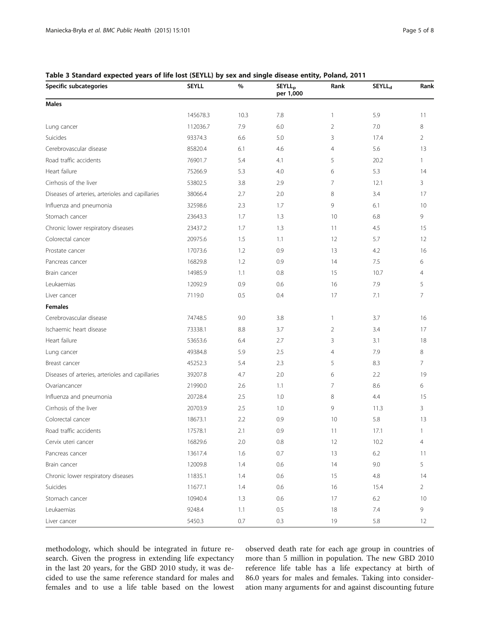<span id="page-4-0"></span>

|  |  | Table 3 Standard expected years of life lost (SEYLL) by sex and single disease entity, Poland, 2011 |  |
|--|--|-----------------------------------------------------------------------------------------------------|--|
|  |  |                                                                                                     |  |

| Specific subcategories                           | <b>SEYLL</b> | %       | SEYLL <sub>p</sub><br>per 1,000 | Rank           | <b>SEYLL</b> <sub>d</sub> | Rank           |
|--------------------------------------------------|--------------|---------|---------------------------------|----------------|---------------------------|----------------|
| <b>Males</b>                                     |              |         |                                 |                |                           |                |
|                                                  | 145678.3     | 10.3    | 7.8                             | 1              | 5.9                       | 11             |
| Lung cancer                                      | 112036.7     | 7.9     | 6.0                             | 2              | 7.0                       | 8              |
| Suicides                                         | 93374.3      | 6.6     | 5.0                             | 3              | 17.4                      | $\overline{2}$ |
| Cerebrovascular disease                          | 85820.4      | 6.1     | 4.6                             | 4              | 5.6                       | 13             |
| Road traffic accidents                           | 76901.7      | 5.4     | 4.1                             | 5              | 20.2                      | $\mathbf{1}$   |
| Heart failure                                    | 75266.9      | 5.3     | 4.0                             | 6              | 5.3                       | 14             |
| Cirrhosis of the liver                           | 53802.5      | 3.8     | 2.9                             | 7              | 12.1                      | 3              |
| Diseases of arteries, arterioles and capillaries | 38066.4      | 2.7     | 2.0                             | 8              | 3.4                       | 17             |
| Influenza and pneumonia                          | 32598.6      | 2.3     | 1.7                             | 9              | 6.1                       | 10             |
| Stomach cancer                                   | 23643.3      | 1.7     | 1.3                             | 10             | 6.8                       | 9              |
| Chronic lower respiratory diseases               | 23437.2      | 1.7     | 1.3                             | 11             | 4.5                       | 15             |
| Colorectal cancer                                | 20975.6      | 1.5     | 1.1                             | 12             | 5.7                       | 12             |
| Prostate cancer                                  | 17073.6      | 1.2     | 0.9                             | 13             | 4.2                       | 16             |
| Pancreas cancer                                  | 16829.8      | 1.2     | 0.9                             | 14             | 7.5                       | 6              |
| Brain cancer                                     | 14985.9      | 1.1     | 0.8                             | 15             | 10.7                      | $\overline{4}$ |
| Leukaemias                                       | 12092.9      | 0.9     | 0.6                             | 16             | 7.9                       | 5              |
| Liver cancer                                     | 7119.0       | 0.5     | 0.4                             | 17             | 7.1                       | $\overline{7}$ |
| <b>Females</b>                                   |              |         |                                 |                |                           |                |
| Cerebrovascular disease                          | 74748.5      | 9.0     | 3.8                             | 1              | 3.7                       | 16             |
| Ischaemic heart disease                          | 73338.1      | 8.8     | 3.7                             | 2              | 3.4                       | 17             |
| Heart failure                                    | 53653.6      | 6.4     | 2.7                             | 3              | 3.1                       | 18             |
| Lung cancer                                      | 49384.8      | 5.9     | 2.5                             | $\overline{4}$ | 7.9                       | 8              |
| Breast cancer                                    | 45252.3      | 5.4     | 2.3                             | 5              | 8.3                       | 7              |
| Diseases of arteries, arterioles and capillaries | 39207.8      | 4.7     | 2.0                             | 6              | 2.2                       | 19             |
| Ovariancancer                                    | 21990.0      | 2.6     | 1.1                             | 7              | 8.6                       | 6              |
| Influenza and pneumonia                          | 20728.4      | 2.5     | 1.0                             | 8              | 4.4                       | 15             |
| Cirrhosis of the liver                           | 20703.9      | 2.5     | 1.0                             | 9              | 11.3                      | 3              |
| Colorectal cancer                                | 18673.1      | 2.2     | 0.9                             | 10             | 5.8                       | 13             |
| Road traffic accidents                           | 17578.1      | 2.1     | 0.9                             | 11             | 17.1                      | 1              |
| Cervix uteri cancer                              | 16829.6      | $2.0\,$ | $0.8\,$                         | 12             | 10.2                      | 4              |
| Pancreas cancer                                  | 13617.4      | 1.6     | 0.7                             | 13             | 6.2                       | 11             |
| Brain cancer                                     | 12009.8      | 1.4     | 0.6                             | 14             | 9.0                       | 5              |
| Chronic lower respiratory diseases               | 11835.1      | 1.4     | 0.6                             | 15             | $4.8\,$                   | 14             |
| Suicides                                         | 11677.1      | 1.4     | 0.6                             | 16             | 15.4                      | $\overline{2}$ |
| Stomach cancer                                   | 10940.4      | 1.3     | 0.6                             | 17             | 6.2                       | 10             |
| Leukaemias                                       | 9248.4       | 1.1     | 0.5                             | 18             | 7.4                       | 9              |
| Liver cancer                                     | 5450.3       | 0.7     | 0.3                             | 19             | 5.8                       | 12             |

methodology, which should be integrated in future research. Given the progress in extending life expectancy in the last 20 years, for the GBD 2010 study, it was decided to use the same reference standard for males and females and to use a life table based on the lowest observed death rate for each age group in countries of more than 5 million in population. The new GBD 2010 reference life table has a life expectancy at birth of 86.0 years for males and females. Taking into consideration many arguments for and against discounting future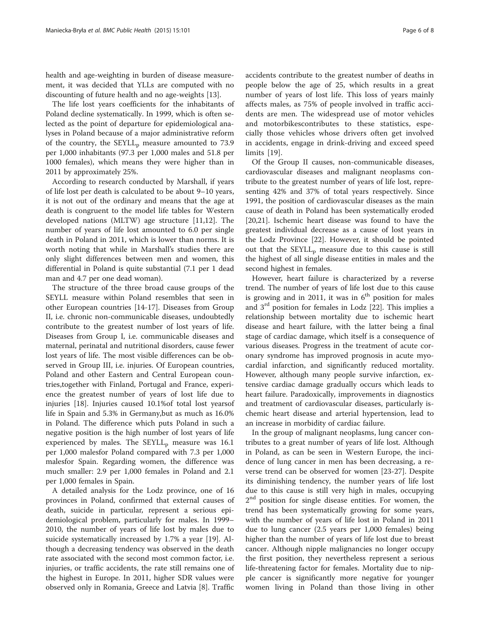health and age-weighting in burden of disease measurement, it was decided that YLLs are computed with no discounting of future health and no age-weights [\[13](#page-7-0)].

The life lost years coefficients for the inhabitants of Poland decline systematically. In 1999, which is often selected as the point of departure for epidemiological analyses in Poland because of a major administrative reform of the country, the  $SEYLL_p$  measure amounted to 73.9 per 1,000 inhabitants (97.3 per 1,000 males and 51.8 per 1000 females), which means they were higher than in 2011 by approximately 25%.

According to research conducted by Marshall, if years of life lost per death is calculated to be about 9–10 years, it is not out of the ordinary and means that the age at death is congruent to the model life tables for Western developed nations (MLTW) age structure [\[11,12](#page-7-0)]. The number of years of life lost amounted to 6.0 per single death in Poland in 2011, which is lower than norms. It is worth noting that while in Marshall's studies there are only slight differences between men and women, this differential in Poland is quite substantial (7.1 per 1 dead man and 4.7 per one dead woman).

The structure of the three broad cause groups of the SEYLL measure within Poland resembles that seen in other European countries [[14-17](#page-7-0)]. Diseases from Group II, i.e. chronic non-communicable diseases, undoubtedly contribute to the greatest number of lost years of life. Diseases from Group I, i.e. communicable diseases and maternal, perinatal and nutritional disorders, cause fewer lost years of life. The most visible differences can be observed in Group III, i.e. injuries. Of European countries, Poland and other Eastern and Central European countries,together with Finland, Portugal and France, experience the greatest number of years of lost life due to injuries [[18\]](#page-7-0). Injuries caused 10.1%of total lost yearsof life in Spain and 5.3% in Germany,but as much as 16.0% in Poland. The difference which puts Poland in such a negative position is the high number of lost years of life experienced by males. The  $SEYLL_p$  measure was 16.1 per 1,000 malesfor Poland compared with 7.3 per 1,000 malesfor Spain. Regarding women, the difference was much smaller: 2.9 per 1,000 females in Poland and 2.1 per 1,000 females in Spain.

A detailed analysis for the Lodz province, one of 16 provinces in Poland, confirmed that external causes of death, suicide in particular, represent a serious epidemiological problem, particularly for males. In 1999– 2010, the number of years of life lost by males due to suicide systematically increased by 1.7% a year [[19](#page-7-0)]. Although a decreasing tendency was observed in the death rate associated with the second most common factor, i.e. injuries, or traffic accidents, the rate still remains one of the highest in Europe. In 2011, higher SDR values were observed only in Romania, Greece and Latvia [[8\]](#page-6-0). Traffic

accidents contribute to the greatest number of deaths in people below the age of 25, which results in a great number of years of lost life. This loss of years mainly affects males, as 75% of people involved in traffic accidents are men. The widespread use of motor vehicles and motorbikescontributes to these statistics, especially those vehicles whose drivers often get involved in accidents, engage in drink-driving and exceed speed limits [[19\]](#page-7-0).

Of the Group II causes, non-communicable diseases, cardiovascular diseases and malignant neoplasms contribute to the greatest number of years of life lost, representing 42% and 37% of total years respectively. Since 1991, the position of cardiovascular diseases as the main cause of death in Poland has been systematically eroded [[20,21\]](#page-7-0). Ischemic heart disease was found to have the greatest individual decrease as a cause of lost years in the Lodz Province [[22\]](#page-7-0). However, it should be pointed out that the  $SEYLL_p$  measure due to this cause is still the highest of all single disease entities in males and the second highest in females.

However, heart failure is characterized by a reverse trend. The number of years of life lost due to this cause is growing and in 2011, it was in  $6<sup>th</sup>$  position for males and 3rd position for females in Lodz [[22](#page-7-0)]. This implies a relationship between mortality due to ischemic heart disease and heart failure, with the latter being a final stage of cardiac damage, which itself is a consequence of various diseases. Progress in the treatment of acute coronary syndrome has improved prognosis in acute myocardial infarction, and significantly reduced mortality. However, although many people survive infarction, extensive cardiac damage gradually occurs which leads to heart failure. Paradoxically, improvements in diagnostics and treatment of cardiovascular diseases, particularly ischemic heart disease and arterial hypertension, lead to an increase in morbidity of cardiac failure.

In the group of malignant neoplasms, lung cancer contributes to a great number of years of life lost. Although in Poland, as can be seen in Western Europe, the incidence of lung cancer in men has been decreasing, a reverse trend can be observed for women [[23-27](#page-7-0)]. Despite its diminishing tendency, the number years of life lost due to this cause is still very high in males, occupying  $2<sup>nd</sup>$  position for single disease entities. For women, the trend has been systematically growing for some years, with the number of years of life lost in Poland in 2011 due to lung cancer (2.5 years per 1,000 females) being higher than the number of years of life lost due to breast cancer. Although nipple malignancies no longer occupy the first position, they nevertheless represent a serious life-threatening factor for females. Mortality due to nipple cancer is significantly more negative for younger women living in Poland than those living in other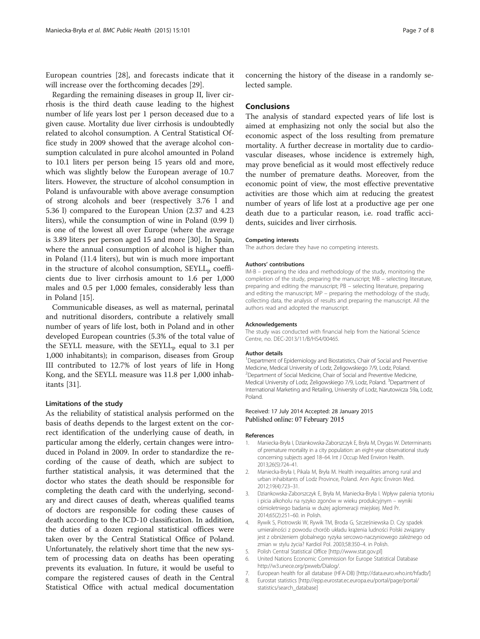<span id="page-6-0"></span>European countries [\[28](#page-7-0)], and forecasts indicate that it will increase over the forthcoming decades [\[29\]](#page-7-0).

Regarding the remaining diseases in group II, liver cirrhosis is the third death cause leading to the highest number of life years lost per 1 person deceased due to a given cause. Mortality due liver cirrhosis is undoubtedly related to alcohol consumption. A Central Statistical Office study in 2009 showed that the average alcohol consumption calculated in pure alcohol amounted in Poland to 10.1 liters per person being 15 years old and more, which was slightly below the European average of 10.7 liters. However, the structure of alcohol consumption in Poland is unfavourable with above average consumption of strong alcohols and beer (respectively 3.76 l and 5.36 l) compared to the European Union (2.37 and 4.23 liters), while the consumption of wine in Poland (0.99 l) is one of the lowest all over Europe (where the average is 3.89 liters per person aged 15 and more [[30\]](#page-7-0). In Spain, where the annual consumption of alcohol is higher than in Poland (11.4 liters), but win is much more important in the structure of alcohol consumption,  $SEYLL_p$  coefficients due to liver cirrhosis amount to 1.6 per 1,000 males and 0.5 per 1,000 females, considerably less than in Poland [[15\]](#page-7-0).

Communicable diseases, as well as maternal, perinatal and nutritional disorders, contribute a relatively small number of years of life lost, both in Poland and in other developed European countries (5.3% of the total value of the SEYLL measure, with the  $SEYLL$ <sub>p</sub> equal to 3.1 per 1,000 inhabitants); in comparison, diseases from Group III contributed to 12.7% of lost years of life in Hong Kong, and the SEYLL measure was 11.8 per 1,000 inhabitants [\[31](#page-7-0)].

## Limitations of the study

As the reliability of statistical analysis performed on the basis of deaths depends to the largest extent on the correct identification of the underlying cause of death, in particular among the elderly, certain changes were introduced in Poland in 2009. In order to standardize the recording of the cause of death, which are subject to further statistical analysis, it was determined that the doctor who states the death should be responsible for completing the death card with the underlying, secondary and direct causes of death, whereas qualified teams of doctors are responsible for coding these causes of death according to the ICD-10 classification. In addition, the duties of a dozen regional statistical offices were taken over by the Central Statistical Office of Poland. Unfortunately, the relatively short time that the new system of processing data on deaths has been operating prevents its evaluation. In future, it would be useful to compare the registered causes of death in the Central Statistical Office with actual medical documentation

concerning the history of the disease in a randomly selected sample.

## Conclusions

The analysis of standard expected years of life lost is aimed at emphasizing not only the social but also the economic aspect of the loss resulting from premature mortality. A further decrease in mortality due to cardiovascular diseases, whose incidence is extremely high, may prove beneficial as it would most effectively reduce the number of premature deaths. Moreover, from the economic point of view, the most effective preventative activities are those which aim at reducing the greatest number of years of life lost at a productive age per one death due to a particular reason, i.e. road traffic accidents, suicides and liver cirrhosis.

#### Competing interests

The authors declare they have no competing interests.

#### Authors' contributions

IM-B – preparing the idea and methodology of the study, monitoring the completion of the study, preparing the manuscript; MB – selecting literature, preparing and editing the manuscript; PB – selecting literature, preparing and editing the manuscript; MP – preparing the methodology of the study, collecting data, the analysis of results and preparing the manuscript. All the authors read and adopted the manuscript.

#### Acknowledgements

The study was conducted with financial help from the National Science Centre, no. DEC-2013/11/B/HS4/00465.

#### Author details

<sup>1</sup>Department of Epidemiology and Biostatistics, Chair of Social and Preventive Medicine, Medical University of Lodz, <sup>Ż</sup>eligowskiego 7/9, Lodz, Poland. <sup>2</sup> <sup>2</sup>Department of Social Medicine, Chair of Social and Preventive Medicine, Medical University of Lodz, Żeligowskiego 7/9, Lodz, Poland. <sup>3</sup>Department of International Marketing and Retailing, University of Lodz, Narutowicza 59a, Lodz, Poland.

#### Received: 17 July 2014 Accepted: 28 January 2015 Published online: 07 February 2015

#### References

- 1. Maniecka-Bryła I, Dziankowska-Zaborszczyk E, Bryła M, Drygas W. Determinants of premature mortality in a city population: an eight-year observational study concerning subjects aged 18–64. Int J Occup Med Environ Health. 2013;26(5):724–41.
- 2. Maniecka-Bryła I, Pikala M, Bryła M. Health inequalities among rural and urban inhabitants of Lodz Province, Poland. Ann Agric Environ Med. 2012;19(4):723–31.
- 3. Dziankowska-Zaborszczyk E, Bryła M, Maniecka-Bryła I. Wpływ palenia tytoniu i picia alkoholu na ryzyko zgonów w wieku produkcyjnym – wyniki ośmioletniego badania w dużej aglomeracji miejskiej. Med Pr. 2014;65(2):251–60. in Polish.
- 4. Rywik S, Piotrowski W, Rywik TM, Broda G, Szcześniewska D. Czy spadek umieralności z powodu chorób układu krążenia ludności Polski związany jest z obniżeniem globalnego ryzyka sercowo-naczyniowego zależnego od zmian w stylu życia? Kardiol Pol. 2003;58:350–4. in Polish.
- 5. Polish Central Statistical Office [[http://www.stat.gov.pl\]](http://www.stat.gov.pl)
- 6. United Nations Economic Commission for Europe Statistical Database [http://w3.unece.org/pxweb/Dialog/.](http://w3.unece.org/pxweb/Dialog/)
- 7. European health for all database (HFA-DB) [\[http://data.euro.who.int/hfadb/\]](http://data.euro.who.int/hfadb/)
- 8. Eurostat statistics [\[http://epp.eurostat.ec.europa.eu/portal/page/portal/](http://epp.eurostat.ec.europa.eu/portal/page/portal/statistics/search_database) [statistics/search\\_database\]](http://epp.eurostat.ec.europa.eu/portal/page/portal/statistics/search_database)